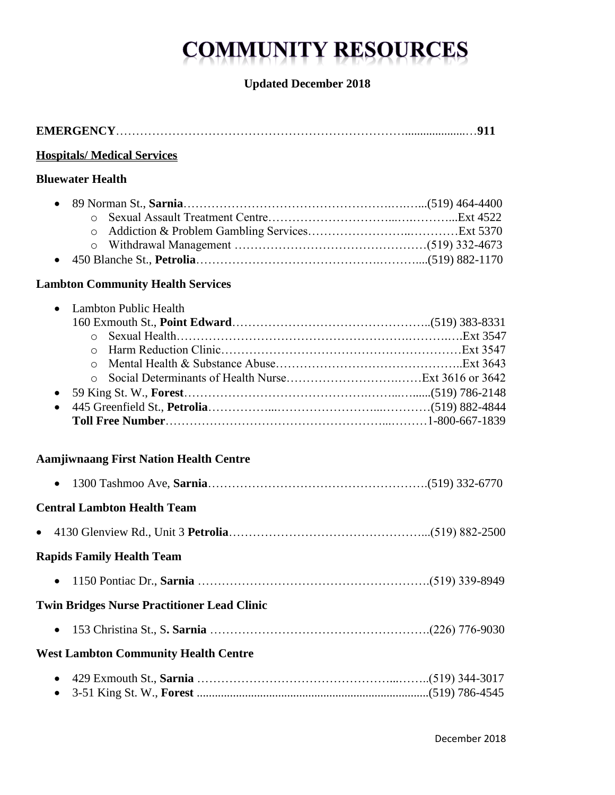# **COMMUNITY RESOURCES**

# **Updated December 2018**

**EMERGENCY**………………………………………………………………....................…**911**

| <b>Hospitals/ Medical Services</b>                                                          |  |
|---------------------------------------------------------------------------------------------|--|
| <b>Bluewater Health</b>                                                                     |  |
| $\circ$<br>$\bullet$                                                                        |  |
| <b>Lambton Community Health Services</b>                                                    |  |
| Lambton Public Health<br>$\bullet$<br>$\circ$<br>$\circ$<br>$\circ$<br>$\circ$<br>$\bullet$ |  |
| <b>Aamjiwnaang First Nation Health Centre</b>                                               |  |
| $\bullet$                                                                                   |  |
| <b>Central Lambton Health Team</b>                                                          |  |
| $\bullet$                                                                                   |  |
| <b>Rapids Family Health Team</b>                                                            |  |
| $\bullet$                                                                                   |  |
| <b>Twin Bridges Nurse Practitioner Lead Clinic</b>                                          |  |
| $\bullet$                                                                                   |  |
| <b>West Lambton Community Health Centre</b>                                                 |  |
| $\bullet$                                                                                   |  |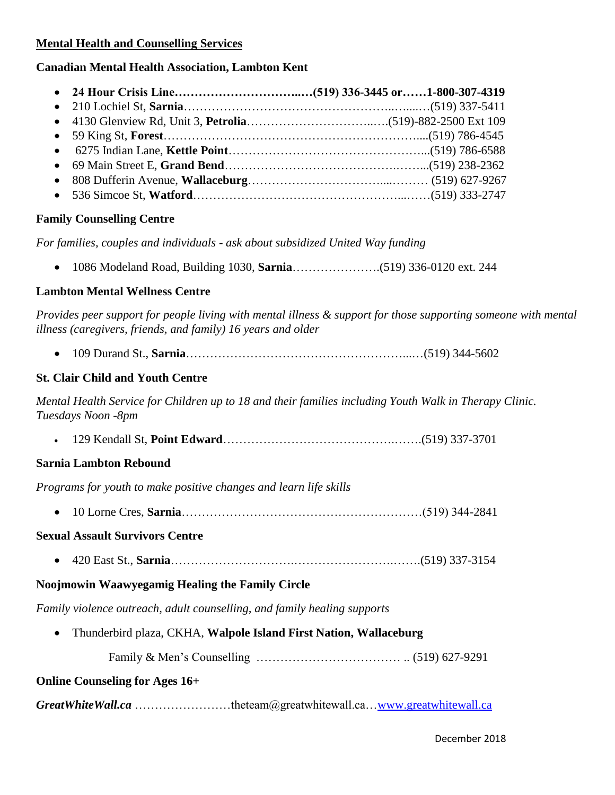#### **Mental Health and Counselling Services**

#### **Canadian Mental Health Association, Lambton Kent**

#### **Family Counselling Centre**

*For families, couples and individuals - ask about subsidized United Way funding*

1086 Modeland Road, Building 1030, **Sarnia**………………….(519) 336-0120 ext. 244

#### **Lambton Mental Wellness Centre**

*Provides peer support for people living with mental illness & support for those supporting someone with mental illness (caregivers, friends, and family) 16 years and older*

109 Durand St., **Sarnia**………………………………………………...…(519) 344-5602

#### **St. Clair Child and Youth Centre**

*Mental Health Service for Children up to 18 and their families including Youth Walk in Therapy Clinic. Tuesdays Noon -8pm* 

129 Kendall St, **Point Edward**…………………………………….…….(519) 337-3701

## **Sarnia Lambton Rebound**

*Programs for youth to make positive changes and learn life skills*

10 Lorne Cres, **Sarnia**……………………………………………………(519) 344-2841

#### **Sexual Assault Survivors Centre**

420 East St., **Sarnia**………………………….…………………….…….(519) 337-3154

## **Noojmowin Waawyegamig Healing the Family Circle**

*Family violence outreach, adult counselling, and family healing supports*

Thunderbird plaza, CKHA, **Walpole Island First Nation, Wallaceburg**

Family & Men's Counselling ……………………………… .. (519) 627-9291

## **Online Counseling for Ages 16+**

*GreatWhiteWall.ca* ……………………theteam@greatwhitewall.ca[…www.greatwhitewall.ca](http://www.greatwhitewall.ca/)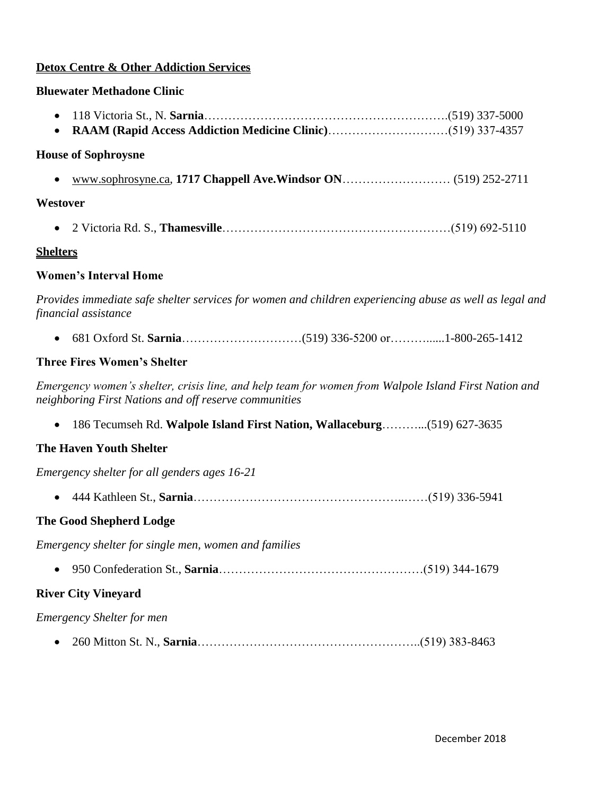## **Detox Centre & Other Addiction Services**

## **Bluewater Methadone Clinic**

| $\bullet$                                                                                                                                                     |  |
|---------------------------------------------------------------------------------------------------------------------------------------------------------------|--|
| <b>House of Sophroysne</b>                                                                                                                                    |  |
|                                                                                                                                                               |  |
| Westover                                                                                                                                                      |  |
|                                                                                                                                                               |  |
| <u>Shelters</u>                                                                                                                                               |  |
| <b>Women's Interval Home</b>                                                                                                                                  |  |
| Provides immediate safe shelter services for women and children experiencing abuse as well as legal and<br>financial assistance                               |  |
|                                                                                                                                                               |  |
| <b>Three Fires Women's Shelter</b>                                                                                                                            |  |
| Emergency women's shelter, crisis line, and help team for women from Walpole Island First Nation and<br>neighboring First Nations and off reserve communities |  |
| 186 Tecumseh Rd. Walpole Island First Nation, Wallaceburg(519) 627-3635<br>$\bullet$                                                                          |  |
| <b>The Haven Youth Shelter</b>                                                                                                                                |  |
| Emergency shelter for all genders ages 16-21                                                                                                                  |  |
|                                                                                                                                                               |  |
| <b>The Good Shepherd Lodge</b>                                                                                                                                |  |
| Emergency shelter for single men, women and families                                                                                                          |  |
|                                                                                                                                                               |  |
| <b>River City Vineyard</b>                                                                                                                                    |  |
| <b>Emergency Shelter for men</b>                                                                                                                              |  |
|                                                                                                                                                               |  |
|                                                                                                                                                               |  |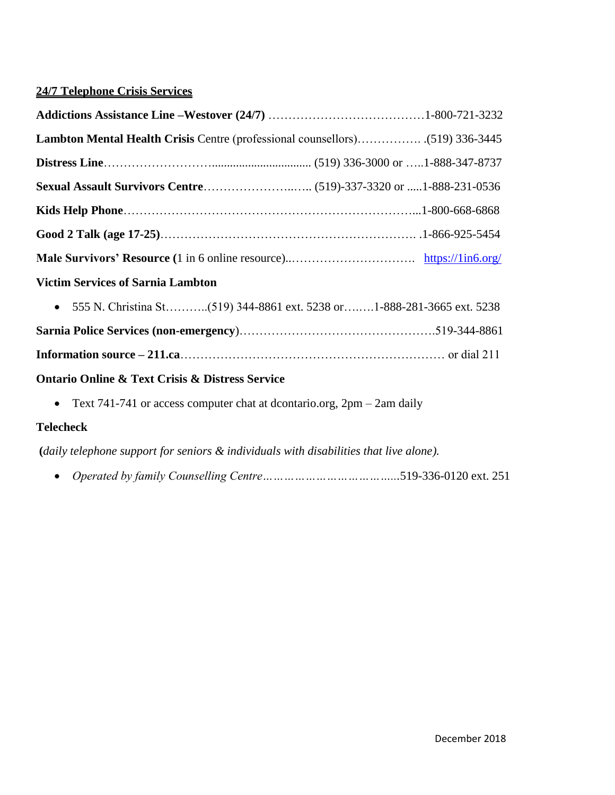# **24/7 Telephone Crisis Services**

| <b>Victim Services of Sarnia Lambton</b>                                               |  |
|----------------------------------------------------------------------------------------|--|
| $\bullet$                                                                              |  |
|                                                                                        |  |
|                                                                                        |  |
| <b>Ontario Online &amp; Text Crisis &amp; Distress Service</b>                         |  |
| Text 741-741 or access computer chat at dcontario.org, $2pm - 2am$ daily<br>$\bullet$  |  |
| <b>Telecheck</b>                                                                       |  |
| (daily telephone support for seniors & individuals with disabilities that live alone). |  |
| $\bullet$                                                                              |  |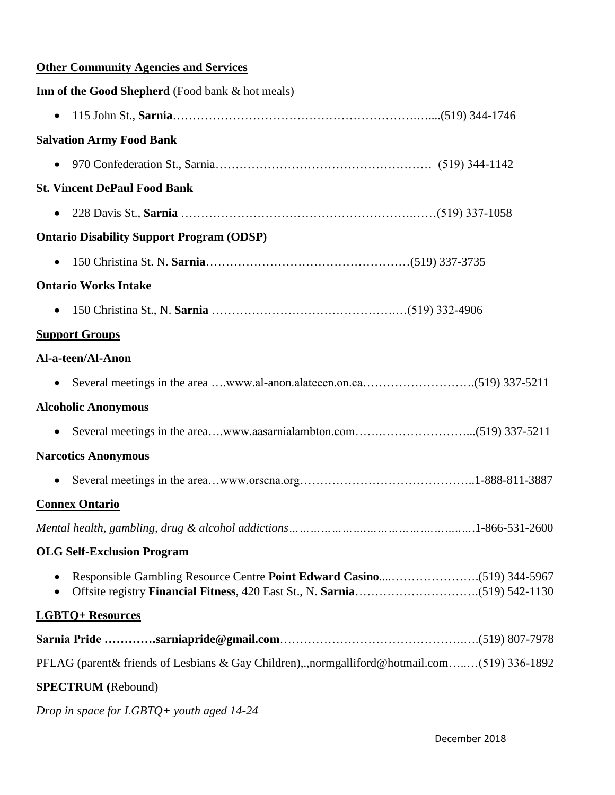# **Other Community Agencies and Services**

| Inn of the Good Shepherd (Food bank & hot meals)                                             |
|----------------------------------------------------------------------------------------------|
| $\bullet$                                                                                    |
| <b>Salvation Army Food Bank</b>                                                              |
| $\bullet$                                                                                    |
| <b>St. Vincent DePaul Food Bank</b>                                                          |
| $\bullet$                                                                                    |
| <b>Ontario Disability Support Program (ODSP)</b>                                             |
| $\bullet$                                                                                    |
| <b>Ontario Works Intake</b>                                                                  |
| $\bullet$                                                                                    |
| <b>Support Groups</b>                                                                        |
| Al-a-teen/Al-Anon                                                                            |
| $\bullet$                                                                                    |
| <b>Alcoholic Anonymous</b>                                                                   |
| $\bullet$                                                                                    |
| <b>Narcotics Anonymous</b>                                                                   |
| $\bullet$                                                                                    |
| <b>Connex Ontario</b>                                                                        |
|                                                                                              |
| <b>OLG Self-Exclusion Program</b>                                                            |
|                                                                                              |
| <b>LGBTO+ Resources</b>                                                                      |
|                                                                                              |
| PFLAG (parent & friends of Lesbians & Gay Children), normgalliford@hotmail.com(519) 336-1892 |
| <b>SPECTRUM</b> (Rebound)                                                                    |
| Drop in space for LGBTQ+ youth aged 14-24                                                    |